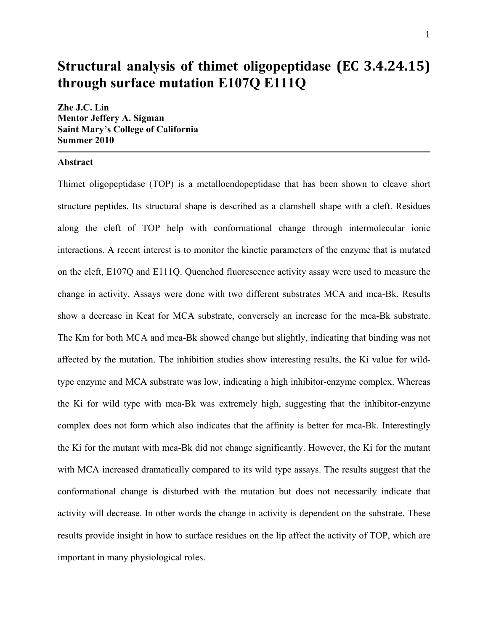# **Structural analysis of thimet oligopeptidase (EC
3.4.24.15) through surface mutation E107Q E111Q**

**Zhe J.C. Lin Mentor Jeffery A. Sigman Saint Mary's College of California Summer 2010**

# **Abstract**

Thimet oligopeptidase (TOP) is a metalloendopeptidase that has been shown to cleave short structure peptides. Its structural shape is described as a clamshell shape with a cleft. Residues along the cleft of TOP help with conformational change through intermolecular ionic interactions. A recent interest is to monitor the kinetic parameters of the enzyme that is mutated on the cleft, E107Q and E111Q. Quenched fluorescence activity assay were used to measure the change in activity. Assays were done with two different substrates MCA and mca-Bk. Results show a decrease in Kcat for MCA substrate, conversely an increase for the mca-Bk substrate. The Km for both MCA and mca-Bk showed change but slightly, indicating that binding was not affected by the mutation. The inhibition studies show interesting results, the Ki value for wildtype enzyme and MCA substrate was low, indicating a high inhibitor-enzyme complex. Whereas the Ki for wild type with mca-Bk was extremely high, suggesting that the inhibitor-enzyme complex does not form which also indicates that the affinity is better for mca-Bk. Interestingly the Ki for the mutant with mca-Bk did not change significantly. However, the Ki for the mutant with MCA increased dramatically compared to its wild type assays. The results suggest that the conformational change is disturbed with the mutation but does not necessarily indicate that activity will decrease. In other words the change in activity is dependent on the substrate. These results provide insight in how to surface residues on the lip affect the activity of TOP, which are important in many physiological roles.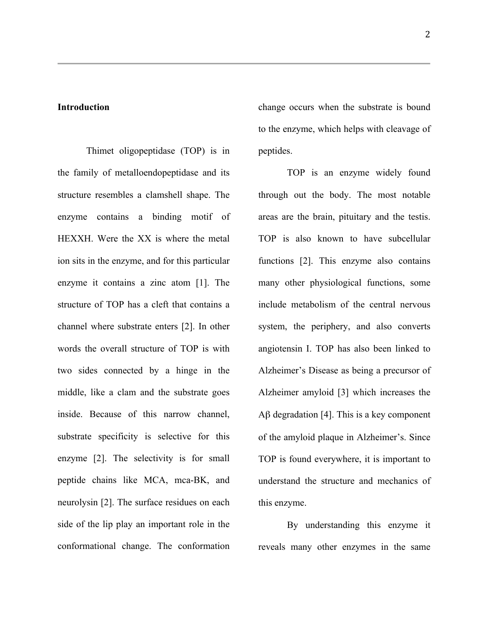# **Introduction**

Thimet oligopeptidase (TOP) is in the family of metalloendopeptidase and its structure resembles a clamshell shape. The enzyme contains a binding motif of HEXXH. Were the XX is where the metal ion sits in the enzyme, and for this particular enzyme it contains a zinc atom [1]. The structure of TOP has a cleft that contains a channel where substrate enters [2]. In other words the overall structure of TOP is with two sides connected by a hinge in the middle, like a clam and the substrate goes inside. Because of this narrow channel, substrate specificity is selective for this enzyme [2]. The selectivity is for small peptide chains like MCA, mca-BK, and neurolysin [2]. The surface residues on each side of the lip play an important role in the conformational change. The conformation change occurs when the substrate is bound to the enzyme, which helps with cleavage of peptides.

TOP is an enzyme widely found through out the body. The most notable areas are the brain, pituitary and the testis. TOP is also known to have subcellular functions [2]. This enzyme also contains many other physiological functions, some include metabolism of the central nervous system, the periphery, and also converts angiotensin I. TOP has also been linked to Alzheimer's Disease as being a precursor of Alzheimer amyloid [3] which increases the Aβ degradation [4]. This is a key component of the amyloid plaque in Alzheimer's. Since TOP is found everywhere, it is important to understand the structure and mechanics of this enzyme.

By understanding this enzyme it reveals many other enzymes in the same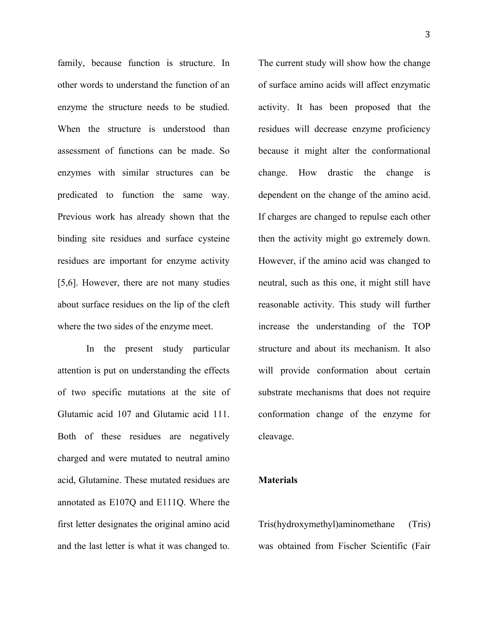family, because function is structure. In other words to understand the function of an enzyme the structure needs to be studied. When the structure is understood than assessment of functions can be made. So enzymes with similar structures can be predicated to function the same way. Previous work has already shown that the binding site residues and surface cysteine residues are important for enzyme activity [5,6]. However, there are not many studies about surface residues on the lip of the cleft where the two sides of the enzyme meet.

In the present study particular attention is put on understanding the effects of two specific mutations at the site of Glutamic acid 107 and Glutamic acid 111. Both of these residues are negatively charged and were mutated to neutral amino acid, Glutamine. These mutated residues are annotated as E107Q and E111Q. Where the first letter designates the original amino acid and the last letter is what it was changed to.

The current study will show how the change of surface amino acids will affect enzymatic activity. It has been proposed that the residues will decrease enzyme proficiency because it might alter the conformational change. How drastic the change is dependent on the change of the amino acid. If charges are changed to repulse each other then the activity might go extremely down. However, if the amino acid was changed to neutral, such as this one, it might still have reasonable activity. This study will further increase the understanding of the TOP structure and about its mechanism. It also will provide conformation about certain substrate mechanisms that does not require conformation change of the enzyme for cleavage.

## **Materials**

Tris(hydroxymethyl)aminomethane (Tris) was obtained from Fischer Scientific (Fair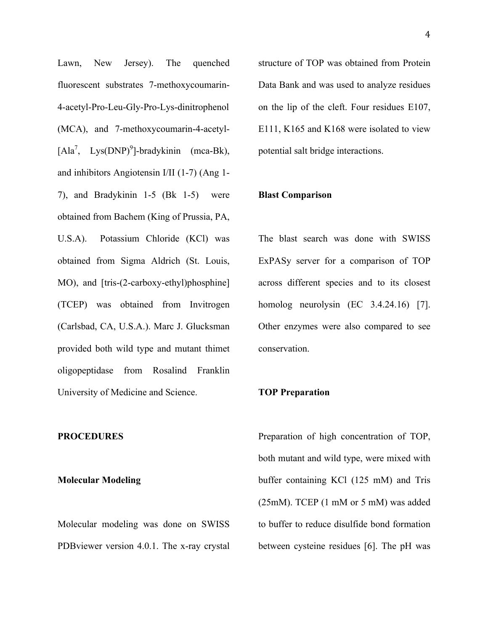Lawn, New Jersey). The quenched fluorescent substrates 7-methoxycoumarin-4-acetyl-Pro-Leu-Gly-Pro-Lys-dinitrophenol (MCA), and 7-methoxycoumarin-4-acetyl-  $[Ala^7, Lys(DNP)^9]$ -bradykinin (mca-Bk), and inhibitors Angiotensin I/II (1-7) (Ang 1- 7), and Bradykinin 1-5 (Bk 1-5) were obtained from Bachem (King of Prussia, PA, U.S.A). Potassium Chloride (KCl) was obtained from Sigma Aldrich (St. Louis, MO), and [tris-(2-carboxy-ethyl)phosphine] (TCEP) was obtained from Invitrogen (Carlsbad, CA, U.S.A.). Marc J. Glucksman provided both wild type and mutant thimet oligopeptidase from Rosalind Franklin University of Medicine and Science.

#### **PROCEDURES**

#### **Molecular Modeling**

Molecular modeling was done on SWISS PDBviewer version 4.0.1. The x-ray crystal structure of TOP was obtained from Protein Data Bank and was used to analyze residues on the lip of the cleft. Four residues E107, E111, K165 and K168 were isolated to view potential salt bridge interactions.

#### **Blast Comparison**

The blast search was done with SWISS ExPASy server for a comparison of TOP across different species and to its closest homolog neurolysin (EC 3.4.24.16) [7]. Other enzymes were also compared to see conservation.

#### **TOP Preparation**

Preparation of high concentration of TOP, both mutant and wild type, were mixed with buffer containing KCl (125 mM) and Tris (25mM). TCEP (1 mM or 5 mM) was added to buffer to reduce disulfide bond formation between cysteine residues [6]. The pH was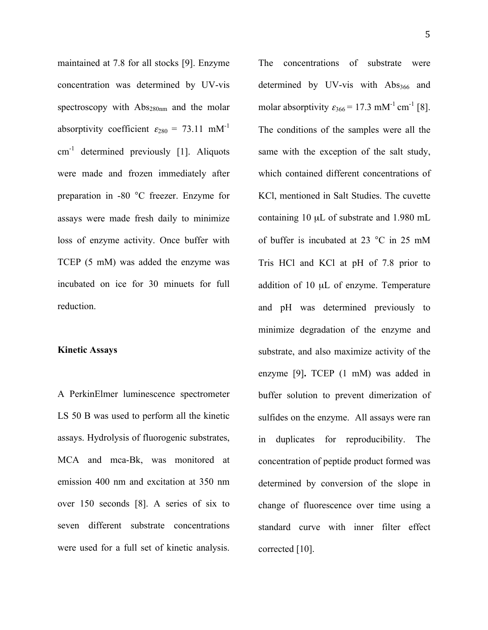maintained at 7.8 for all stocks [9]. Enzyme concentration was determined by UV-vis spectroscopy with  $Abs_{280nm}$  and the molar absorptivity coefficient  $\varepsilon_{280}$  = 73.11 mM<sup>-1</sup>  $cm<sup>-1</sup>$  determined previously [1]. Aliquots were made and frozen immediately after preparation in -80 °C freezer. Enzyme for assays were made fresh daily to minimize loss of enzyme activity. Once buffer with TCEP (5 mM) was added the enzyme was incubated on ice for 30 minuets for full reduction.

## **Kinetic Assays**

A PerkinElmer luminescence spectrometer LS 50 B was used to perform all the kinetic assays. Hydrolysis of fluorogenic substrates, MCA and mca-Bk, was monitored at emission 400 nm and excitation at 350 nm over 150 seconds [8]. A series of six to seven different substrate concentrations were used for a full set of kinetic analysis.

The concentrations of substrate were determined by UV-vis with  $\text{Abs}_{366}$  and molar absorptivity  $\varepsilon_{366} = 17.3 \text{ mM}^{-1} \text{ cm}^{-1} [8]$ . The conditions of the samples were all the same with the exception of the salt study, which contained different concentrations of KCl, mentioned in Salt Studies. The cuvette containing 10 µL of substrate and 1.980 mL of buffer is incubated at 23 °C in 25 mM Tris HCl and KCl at pH of 7.8 prior to addition of 10 µL of enzyme. Temperature and pH was determined previously to minimize degradation of the enzyme and substrate, and also maximize activity of the enzyme [9]**.** TCEP (1 mM) was added in buffer solution to prevent dimerization of sulfides on the enzyme. All assays were ran in duplicates for reproducibility. The concentration of peptide product formed was determined by conversion of the slope in change of fluorescence over time using a standard curve with inner filter effect corrected [10].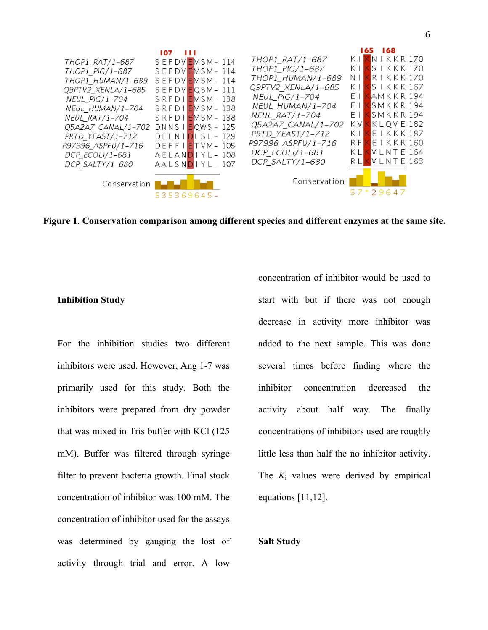

**Figure 1**. **Conservation comparison among different species and different enzymes at the same site.**

## **Inhibition Study**

For the inhibition studies two different inhibitors were used. However, Ang 1-7 was primarily used for this study. Both the inhibitors were prepared from dry powder that was mixed in Tris buffer with KCl (125 mM). Buffer was filtered through syringe filter to prevent bacteria growth. Final stock concentration of inhibitor was 100 mM. The concentration of inhibitor used for the assays was determined by gauging the lost of activity through trial and error. A low

concentration of inhibitor would be used to start with but if there was not enough decrease in activity more inhibitor was added to the next sample. This was done several times before finding where the inhibitor concentration decreased the activity about half way. The finally concentrations of inhibitors used are roughly little less than half the no inhibitor activity. The *K*<sup>i</sup> values were derived by empirical equations [11,12].

#### **Salt Study**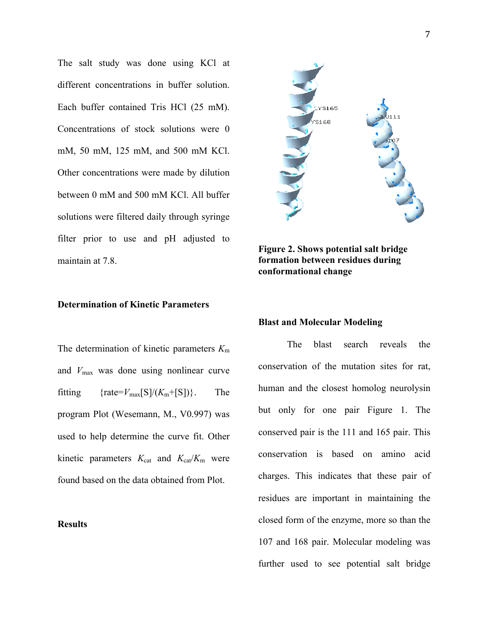The salt study was done using KCl at different concentrations in buffer solution. Each buffer contained Tris HCl (25 mM). Concentrations of stock solutions were 0 mM, 50 mM, 125 mM, and 500 mM KCl. Other concentrations were made by dilution between 0 mM and 500 mM KCl. All buffer solutions were filtered daily through syringe filter prior to use and pH adjusted to maintain at 7.8.

# **Determination of Kinetic Parameters**

The determination of kinetic parameters *K*<sup>m</sup> and *V*max was done using nonlinear curve fitting  $\{rate = V_{\text{max}}[S]/(K_{\text{m}}+[S])\}.$  The program Plot (Wesemann, M., V0.997) was used to help determine the curve fit. Other kinetic parameters  $K_{\text{cat}}$  and  $K_{\text{cat}}/K_{\text{m}}$  were found based on the data obtained from Plot.





**Figure 2. Shows potential salt bridge formation between residues during conformational change** 

#### **Blast and Molecular Modeling**

The blast search reveals the conservation of the mutation sites for rat, human and the closest homolog neurolysin but only for one pair Figure 1. The conserved pair is the 111 and 165 pair. This conservation is based on amino acid charges. This indicates that these pair of residues are important in maintaining the closed form of the enzyme, more so than the 107 and 168 pair. Molecular modeling was further used to see potential salt bridge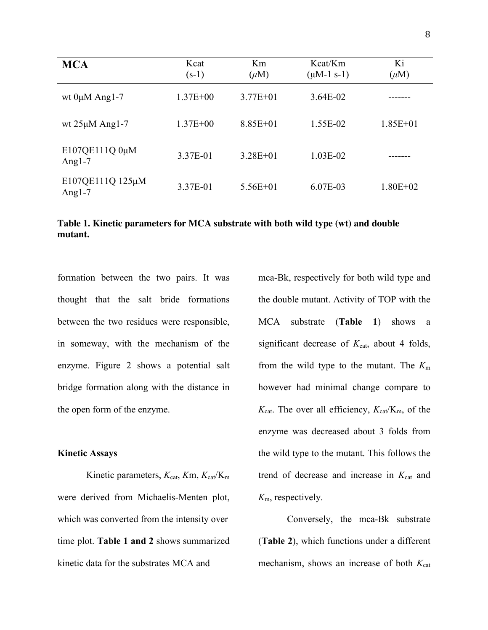| <b>MCA</b>                    | Kcat<br>$(s-1)$ | Km<br>$(\mu M)$ | Kcat/Km<br>$(\mu M-1 s-1)$ | Ki<br>$(\mu M)$ |
|-------------------------------|-----------------|-----------------|----------------------------|-----------------|
| wt $0\mu M$ Ang1-7            | $1.37E + 00$    | $3.77E + 01$    | $3.64E-02$                 |                 |
| wt $25\mu M$ Ang1-7           | $1.37E + 00$    | $8.85E + 01$    | 1.55E-02                   | $1.85E + 01$    |
| E107QE111Q 0μM<br>Angl- $7$   | 3.37E-01        | $3.28E + 01$    | $1.03E-02$                 |                 |
| E107QE111Q 125µM<br>Angl- $7$ | 3.37E-01        | $5.56E + 01$    | 6.07E-03                   | $1.80E + 02$    |

**Table 1. Kinetic parameters for MCA substrate with both wild type (wt) and double mutant.**

formation between the two pairs. It was thought that the salt bride formations between the two residues were responsible, in someway, with the mechanism of the enzyme. Figure 2 shows a potential salt bridge formation along with the distance in the open form of the enzyme.

#### **Kinetic Assays**

Kinetic parameters,  $K_{cat}$ ,  $Km$ ,  $K_{cat}/K_m$ were derived from Michaelis-Menten plot, which was converted from the intensity over time plot. **Table 1 and 2** shows summarized kinetic data for the substrates MCA and

mca-Bk, respectively for both wild type and the double mutant. Activity of TOP with the MCA substrate (**Table 1**) shows a significant decrease of  $K_{cat}$ , about 4 folds, from the wild type to the mutant. The *K*<sup>m</sup> however had minimal change compare to  $K_{\text{cat}}$ . The over all efficiency,  $K_{\text{cat}}/K_{\text{m}}$ , of the enzyme was decreased about 3 folds from the wild type to the mutant. This follows the trend of decrease and increase in  $K_{cat}$  and *K*m, respectively.

Conversely, the mca-Bk substrate (**Table 2**), which functions under a different mechanism, shows an increase of both  $K_{cat}$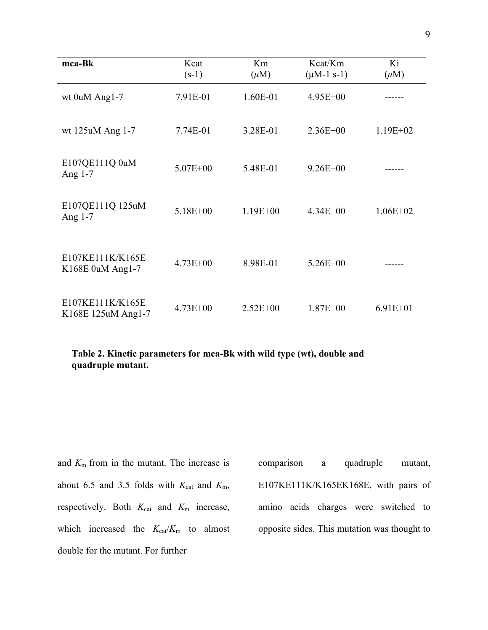| mca-Bk                                 | Kcat<br>$(s-1)$ | Km<br>$(\mu M)$ | Kcat/Km<br>$(\mu M-1 s-1)$ | Ki<br>$(\mu M)$ |
|----------------------------------------|-----------------|-----------------|----------------------------|-----------------|
| wt 0uM Ang1-7                          | 7.91E-01        | 1.60E-01        | $4.95E + 00$               |                 |
| wt 125uM Ang 1-7                       | 7.74E-01        | 3.28E-01        | $2.36E + 00$               | $1.19E + 02$    |
| E107QE111Q 0uM<br>Ang $1-7$            | $5.07E + 00$    | 5.48E-01        | $9.26E + 00$               |                 |
| E107QE111Q 125uM<br>Ang $1-7$          | $5.18E + 00$    | $1.19E + 00$    | $4.34E + 00$               | $1.06E + 02$    |
| E107KE111K/K165E<br>K168E 0uM Ang1-7   | $4.73E + 00$    | 8.98E-01        | $5.26E + 00$               |                 |
| E107KE111K/K165E<br>K168E 125uM Ang1-7 | $4.73E + 00$    | $2.52E + 00$    | $1.87E + 00$               | $6.91E + 01$    |

**Table 2. Kinetic parameters for mca-Bk with wild type (wt), double and quadruple mutant.**

and *K*<sup>m</sup> from in the mutant. The increase is about 6.5 and 3.5 folds with  $K_{\text{cat}}$  and  $K_{\text{m}}$ , respectively. Both  $K_{cat}$  and  $K_m$  increase, which increased the  $K_{\text{cat}}/K_{\text{m}}$  to almost double for the mutant. For further

comparison a quadruple mutant, E107KE111K/K165EK168E, with pairs of amino acids charges were switched to opposite sides. This mutation was thought to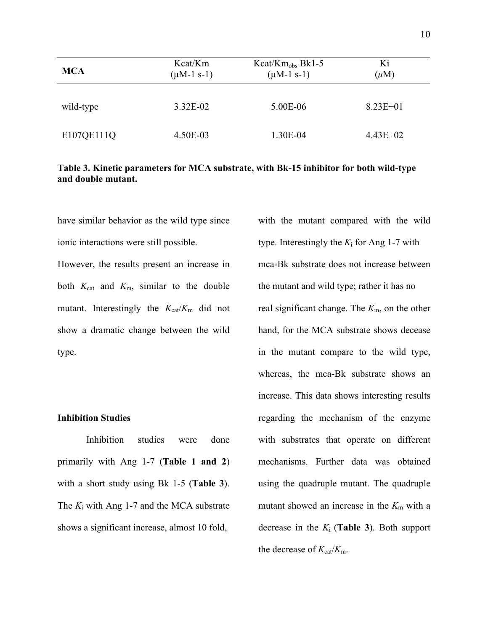| <b>MCA</b> | Kcat/Km<br>$(\mu M-1 s-1)$ | $Kcat/Km_{obs} Bk1-5$<br>$(\mu M-1 s-1)$ | Ki<br>$(\mu M)$ |
|------------|----------------------------|------------------------------------------|-----------------|
| wild-type  | 3.32E-02                   | 5.00E-06                                 | $8.23E + 01$    |
| E107QE111Q | 4.50E-03                   | 1.30E-04                                 | $4.43E+02$      |

## **Table 3. Kinetic parameters for MCA substrate, with Bk-15 inhibitor for both wild-type and double mutant.**

have similar behavior as the wild type since ionic interactions were still possible.

However, the results present an increase in both  $K_{cat}$  and  $K_{m}$ , similar to the double mutant. Interestingly the  $K_{\text{cat}}/K_{\text{m}}$  did not show a dramatic change between the wild type.

## **Inhibition Studies**

Inhibition studies were done primarily with Ang 1-7 (**Table 1 and 2**) with a short study using Bk 1-5 (**Table 3**). The *K*<sup>i</sup> with Ang 1-7 and the MCA substrate shows a significant increase, almost 10 fold,

with the mutant compared with the wild type. Interestingly the  $K_i$  for Ang 1-7 with mca-Bk substrate does not increase between the mutant and wild type; rather it has no real significant change. The *K*m, on the other hand, for the MCA substrate shows decease in the mutant compare to the wild type, whereas, the mca-Bk substrate shows an increase. This data shows interesting results regarding the mechanism of the enzyme with substrates that operate on different mechanisms. Further data was obtained using the quadruple mutant. The quadruple mutant showed an increase in the  $K<sub>m</sub>$  with a decrease in the *K*<sup>i</sup> (**Table 3**). Both support the decrease of  $K_{\text{cat}}/K_{\text{m}}$ .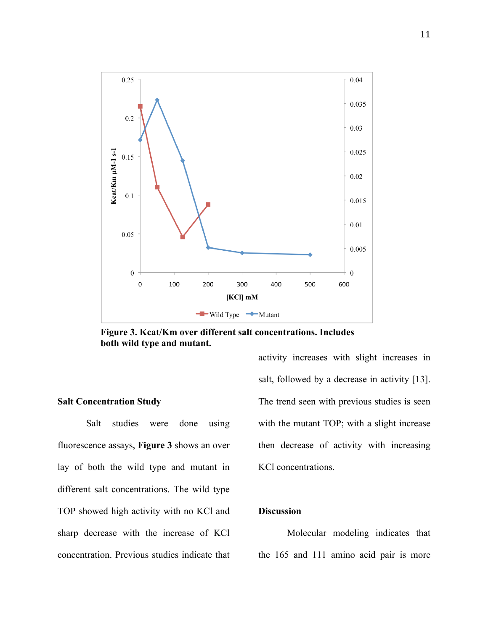

**Figure 3. Kcat/Km over different salt concentrations. Includes both wild type and mutant.** 

## **Salt Concentration Study**

Salt studies were done using fluorescence assays, **Figure 3** shows an over lay of both the wild type and mutant in different salt concentrations. The wild type TOP showed high activity with no KCl and sharp decrease with the increase of KCl concentration. Previous studies indicate that activity increases with slight increases in salt, followed by a decrease in activity [13]. The trend seen with previous studies is seen with the mutant TOP; with a slight increase then decrease of activity with increasing KCl concentrations.

# **Discussion**

Molecular modeling indicates that the 165 and 111 amino acid pair is more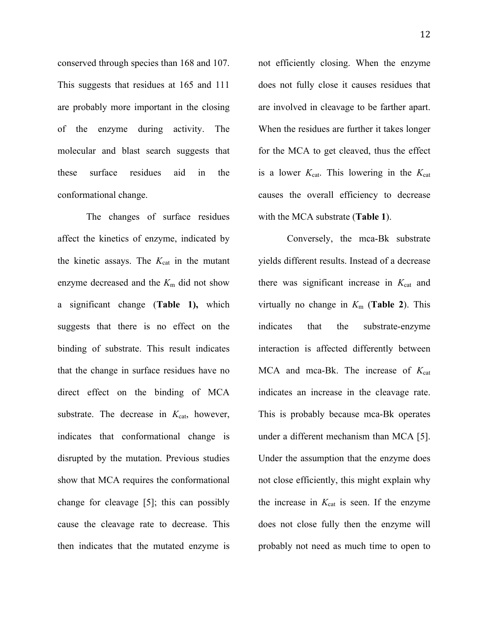conserved through species than 168 and 107. This suggests that residues at 165 and 111 are probably more important in the closing of the enzyme during activity. The molecular and blast search suggests that these surface residues aid in the conformational change.

The changes of surface residues affect the kinetics of enzyme, indicated by the kinetic assays. The  $K_{cat}$  in the mutant enzyme decreased and the  $K<sub>m</sub>$  did not show a significant change (**Table 1),** which suggests that there is no effect on the binding of substrate. This result indicates that the change in surface residues have no direct effect on the binding of MCA substrate. The decrease in  $K_{cat}$ , however, indicates that conformational change is disrupted by the mutation. Previous studies show that MCA requires the conformational change for cleavage [5]; this can possibly cause the cleavage rate to decrease. This then indicates that the mutated enzyme is

not efficiently closing. When the enzyme does not fully close it causes residues that are involved in cleavage to be farther apart. When the residues are further it takes longer for the MCA to get cleaved, thus the effect is a lower  $K_{\text{cat}}$ . This lowering in the  $K_{\text{cat}}$ causes the overall efficiency to decrease with the MCA substrate (**Table 1**).

Conversely, the mca-Bk substrate yields different results. Instead of a decrease there was significant increase in  $K_{cat}$  and virtually no change in  $K_m$  (**Table 2**). This indicates that the substrate-enzyme interaction is affected differently between MCA and mca-Bk. The increase of  $K_{cat}$ indicates an increase in the cleavage rate. This is probably because mca-Bk operates under a different mechanism than MCA [5]. Under the assumption that the enzyme does not close efficiently, this might explain why the increase in  $K_{cat}$  is seen. If the enzyme does not close fully then the enzyme will probably not need as much time to open to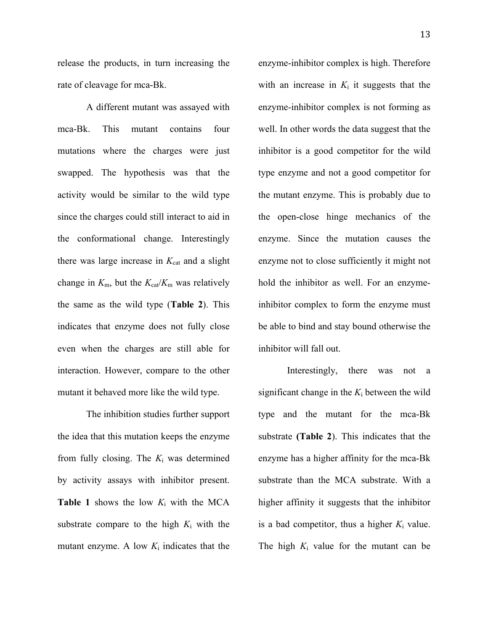release the products, in turn increasing the rate of cleavage for mca-Bk.

A different mutant was assayed with mca-Bk. This mutant contains four mutations where the charges were just swapped. The hypothesis was that the activity would be similar to the wild type since the charges could still interact to aid in the conformational change. Interestingly there was large increase in  $K_{cat}$  and a slight change in  $K_{\rm m}$ , but the  $K_{\rm cat}/K_{\rm m}$  was relatively the same as the wild type (**Table 2**). This indicates that enzyme does not fully close even when the charges are still able for interaction. However, compare to the other mutant it behaved more like the wild type.

The inhibition studies further support the idea that this mutation keeps the enzyme from fully closing. The *K*<sup>i</sup> was determined by activity assays with inhibitor present. **Table 1** shows the low *K*<sup>i</sup> with the MCA substrate compare to the high *K*<sup>i</sup> with the mutant enzyme. A low  $K_i$  indicates that the

enzyme-inhibitor complex is high. Therefore with an increase in  $K_i$  it suggests that the enzyme-inhibitor complex is not forming as well. In other words the data suggest that the inhibitor is a good competitor for the wild type enzyme and not a good competitor for the mutant enzyme. This is probably due to the open-close hinge mechanics of the enzyme. Since the mutation causes the enzyme not to close sufficiently it might not hold the inhibitor as well. For an enzymeinhibitor complex to form the enzyme must be able to bind and stay bound otherwise the inhibitor will fall out.

Interestingly, there was not a significant change in the  $K_i$  between the wild type and the mutant for the mca-Bk substrate **(Table 2**). This indicates that the enzyme has a higher affinity for the mca-Bk substrate than the MCA substrate. With a higher affinity it suggests that the inhibitor is a bad competitor, thus a higher  $K_i$  value. The high  $K_i$  value for the mutant can be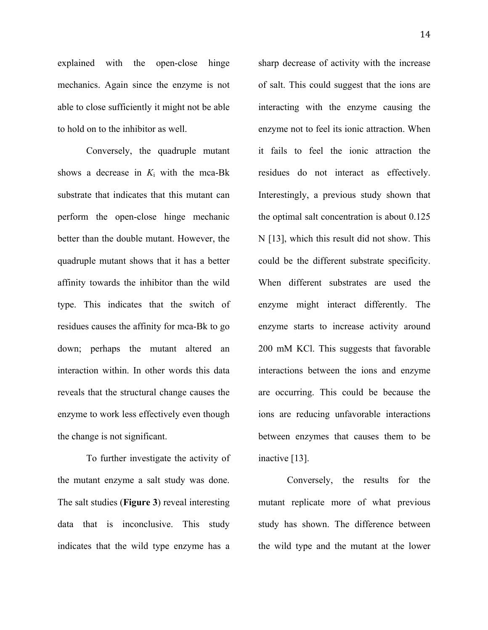explained with the open-close hinge mechanics. Again since the enzyme is not able to close sufficiently it might not be able to hold on to the inhibitor as well.

Conversely, the quadruple mutant shows a decrease in  $K_i$  with the mca-Bk substrate that indicates that this mutant can perform the open-close hinge mechanic better than the double mutant. However, the quadruple mutant shows that it has a better affinity towards the inhibitor than the wild type. This indicates that the switch of residues causes the affinity for mca-Bk to go down; perhaps the mutant altered an interaction within. In other words this data reveals that the structural change causes the enzyme to work less effectively even though the change is not significant.

To further investigate the activity of the mutant enzyme a salt study was done. The salt studies (**Figure 3**) reveal interesting data that is inconclusive. This study indicates that the wild type enzyme has a

sharp decrease of activity with the increase of salt. This could suggest that the ions are interacting with the enzyme causing the enzyme not to feel its ionic attraction. When it fails to feel the ionic attraction the residues do not interact as effectively. Interestingly, a previous study shown that the optimal salt concentration is about 0.125 N [13], which this result did not show. This could be the different substrate specificity. When different substrates are used the enzyme might interact differently. The enzyme starts to increase activity around 200 mM KCl. This suggests that favorable interactions between the ions and enzyme are occurring. This could be because the ions are reducing unfavorable interactions between enzymes that causes them to be inactive [13].

Conversely, the results for the mutant replicate more of what previous study has shown. The difference between the wild type and the mutant at the lower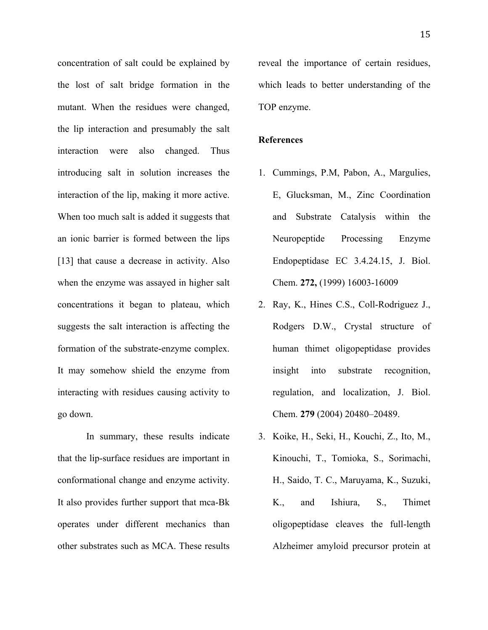concentration of salt could be explained by the lost of salt bridge formation in the mutant. When the residues were changed, the lip interaction and presumably the salt interaction were also changed. Thus introducing salt in solution increases the interaction of the lip, making it more active. When too much salt is added it suggests that an ionic barrier is formed between the lips [13] that cause a decrease in activity. Also when the enzyme was assayed in higher salt concentrations it began to plateau, which suggests the salt interaction is affecting the formation of the substrate-enzyme complex. It may somehow shield the enzyme from interacting with residues causing activity to go down.

In summary, these results indicate that the lip-surface residues are important in conformational change and enzyme activity. It also provides further support that mca-Bk operates under different mechanics than other substrates such as MCA. These results

reveal the importance of certain residues, which leads to better understanding of the TOP enzyme.

## **References**

- 1. Cummings, P.M, Pabon, A., Margulies, E, Glucksman, M., Zinc Coordination and Substrate Catalysis within the Neuropeptide Processing Enzyme Endopeptidase EC 3.4.24.15, J. Biol. Chem. **272,** (1999) 16003-16009
- 2. Ray, K., Hines C.S., Coll-Rodriguez J., Rodgers D.W., Crystal structure of human thimet oligopeptidase provides insight into substrate recognition, regulation, and localization, J. Biol. Chem. **279** (2004) 20480–20489.
- 3. Koike, H., Seki, H., Kouchi, Z., Ito, M., Kinouchi, T., Tomioka, S., Sorimachi, H., Saido, T. C., Maruyama, K., Suzuki, K., and Ishiura, S., Thimet oligopeptidase cleaves the full-length Alzheimer amyloid precursor protein at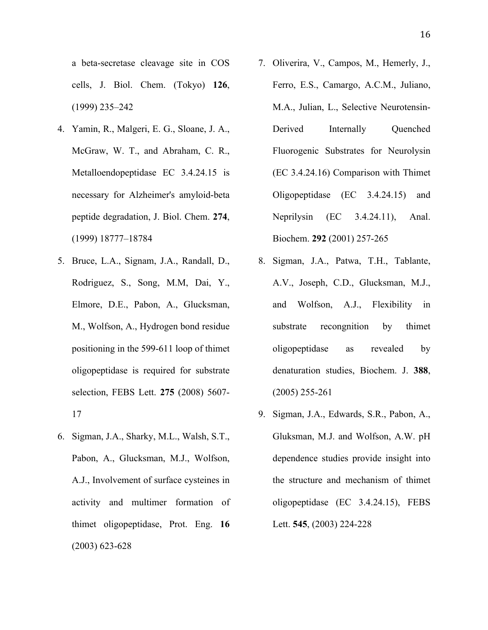a beta-secretase cleavage site in COS cells, J. Biol. Chem. (Tokyo) **126**, (1999) 235–242

- 4. Yamin, R., Malgeri, E. G., Sloane, J. A., McGraw, W. T., and Abraham, C. R., Metalloendopeptidase EC 3.4.24.15 is necessary for Alzheimer's amyloid-beta peptide degradation, J. Biol. Chem. **274**, (1999) 18777–18784
- 5. Bruce, L.A., Signam, J.A., Randall, D., Rodriguez, S., Song, M.M, Dai, Y., Elmore, D.E., Pabon, A., Glucksman, M., Wolfson, A., Hydrogen bond residue positioning in the 599-611 loop of thimet oligopeptidase is required for substrate selection, FEBS Lett. **275** (2008) 5607- 17
- 6. Sigman, J.A., Sharky, M.L., Walsh, S.T., Pabon, A., Glucksman, M.J., Wolfson, A.J., Involvement of surface cysteines in activity and multimer formation of thimet oligopeptidase, Prot. Eng. **16** (2003) 623-628
- 7. Oliverira, V., Campos, M., Hemerly, J., Ferro, E.S., Camargo, A.C.M., Juliano, M.A., Julian, L., Selective Neurotensin-Derived Internally Quenched Fluorogenic Substrates for Neurolysin (EC 3.4.24.16) Comparison with Thimet Oligopeptidase (EC 3.4.24.15) and Neprilysin (EC 3.4.24.11), Anal. Biochem. **292** (2001) 257-265
- 8. Sigman, J.A., Patwa, T.H., Tablante, A.V., Joseph, C.D., Glucksman, M.J., and Wolfson, A.J., Flexibility in substrate recongnition by thimet oligopeptidase as revealed by denaturation studies, Biochem. J. **388**, (2005) 255-261
- 9. Sigman, J.A., Edwards, S.R., Pabon, A., Gluksman, M.J. and Wolfson, A.W. pH dependence studies provide insight into the structure and mechanism of thimet oligopeptidase (EC 3.4.24.15), FEBS Lett. **545**, (2003) 224-228